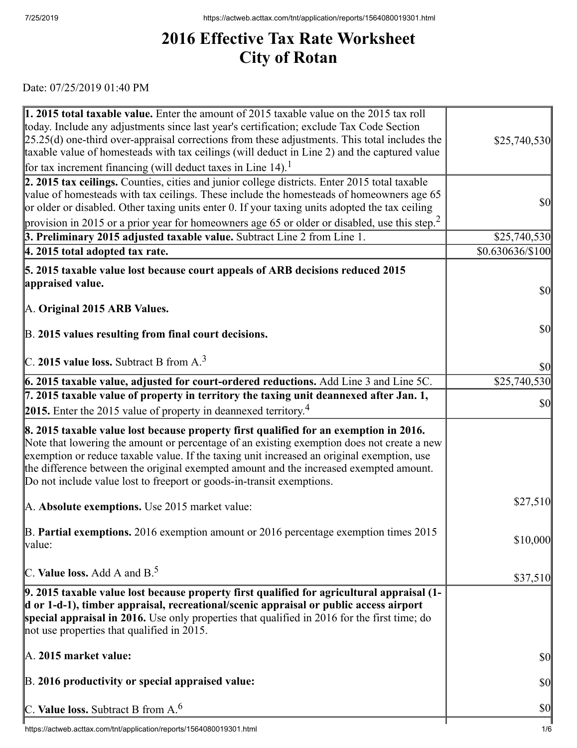## **2016 Effective Tax Rate Worksheet City of Rotan**

Date: 07/25/2019 01:40 PM

| 1. 2015 total taxable value. Enter the amount of 2015 taxable value on the 2015 tax roll<br>today. Include any adjustments since last year's certification; exclude Tax Code Section                                                                                                                                                                                                                                                                 |                                     |
|------------------------------------------------------------------------------------------------------------------------------------------------------------------------------------------------------------------------------------------------------------------------------------------------------------------------------------------------------------------------------------------------------------------------------------------------------|-------------------------------------|
| $[25.25(d)$ one-third over-appraisal corrections from these adjustments. This total includes the<br>taxable value of homesteads with tax ceilings (will deduct in Line 2) and the captured value                                                                                                                                                                                                                                                     | \$25,740,530                        |
| for tax increment financing (will deduct taxes in Line $14$ ). <sup>1</sup>                                                                                                                                                                                                                                                                                                                                                                          |                                     |
| 2. 2015 tax ceilings. Counties, cities and junior college districts. Enter 2015 total taxable<br>value of homesteads with tax ceilings. These include the homesteads of homeowners age 65<br>or older or disabled. Other taxing units enter 0. If your taxing units adopted the tax ceiling                                                                                                                                                          | <b>\$0</b>                          |
| provision in 2015 or a prior year for homeowners age 65 or older or disabled, use this step. <sup>2</sup>                                                                                                                                                                                                                                                                                                                                            |                                     |
| 3. Preliminary 2015 adjusted taxable value. Subtract Line 2 from Line 1.<br>4. 2015 total adopted tax rate.                                                                                                                                                                                                                                                                                                                                          | \$25,740,530<br>$$0.630636\%100$    |
|                                                                                                                                                                                                                                                                                                                                                                                                                                                      |                                     |
| 5. 2015 taxable value lost because court appeals of ARB decisions reduced 2015                                                                                                                                                                                                                                                                                                                                                                       |                                     |
| appraised value.                                                                                                                                                                                                                                                                                                                                                                                                                                     | <b>\$0</b>                          |
| A. Original 2015 ARB Values.                                                                                                                                                                                                                                                                                                                                                                                                                         |                                     |
| B. 2015 values resulting from final court decisions.                                                                                                                                                                                                                                                                                                                                                                                                 | <b>\$0</b>                          |
| C. 2015 value loss. Subtract B from $A3$                                                                                                                                                                                                                                                                                                                                                                                                             | <b>\$0</b>                          |
| 6. 2015 taxable value, adjusted for court-ordered reductions. Add Line 3 and Line 5C.                                                                                                                                                                                                                                                                                                                                                                | \$25,740,530                        |
| $\vert$ 7. 2015 taxable value of property in territory the taxing unit deannexed after Jan. 1,                                                                                                                                                                                                                                                                                                                                                       | <b>\$0</b>                          |
| <b>2015.</b> Enter the 2015 value of property in deannexed territory. <sup>4</sup>                                                                                                                                                                                                                                                                                                                                                                   |                                     |
| 8. 2015 taxable value lost because property first qualified for an exemption in 2016.<br>Note that lowering the amount or percentage of an existing exemption does not create a new<br>exemption or reduce taxable value. If the taxing unit increased an original exemption, use<br>the difference between the original exempted amount and the increased exempted amount.<br>Do not include value lost to freeport or goods-in-transit exemptions. |                                     |
| A. Absolute exemptions. Use 2015 market value:                                                                                                                                                                                                                                                                                                                                                                                                       | \$27,510                            |
| $\vert$ B. Partial exemptions. 2016 exemption amount or 2016 percentage exemption times 2015<br>value:                                                                                                                                                                                                                                                                                                                                               | \$10,000                            |
| C. Value loss. Add A and $B^5$ .                                                                                                                                                                                                                                                                                                                                                                                                                     | \$37,510                            |
| 9. 2015 taxable value lost because property first qualified for agricultural appraisal (1-<br>d or 1-d-1), timber appraisal, recreational/scenic appraisal or public access airport<br>special appraisal in 2016. Use only properties that qualified in 2016 for the first time; do<br>not use properties that qualified in 2015.                                                                                                                    |                                     |
| $\mathbb{A}$ . 2015 market value:                                                                                                                                                                                                                                                                                                                                                                                                                    | <b>\$0</b>                          |
| B. 2016 productivity or special appraised value:                                                                                                                                                                                                                                                                                                                                                                                                     | <b>\$0</b>                          |
| C. Value loss. Subtract B from $A6$                                                                                                                                                                                                                                                                                                                                                                                                                  | $\vert \mathbf{S} \mathbf{O} \vert$ |
| https://actweb.acttax.com/tnt/application/reports/1564080019301.html                                                                                                                                                                                                                                                                                                                                                                                 | 1/6                                 |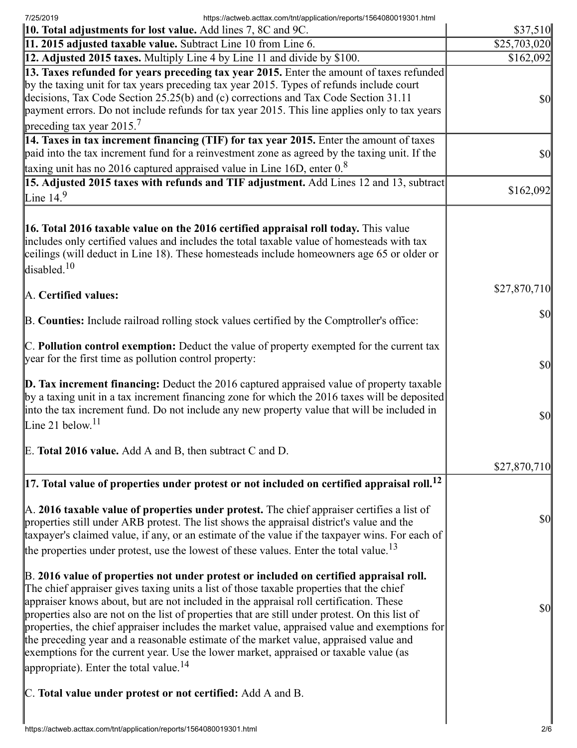7/25/2019 https://actweb.acttax.com/tnt/application/reports/1564080019301.html

| 10. Total adjustments for lost value. Add lines 7, 8C and 9C.                                                                                                                                                                                                                                                                                                                                                                                                                                                                                                                                                                                                                                                            | \$37,510                            |
|--------------------------------------------------------------------------------------------------------------------------------------------------------------------------------------------------------------------------------------------------------------------------------------------------------------------------------------------------------------------------------------------------------------------------------------------------------------------------------------------------------------------------------------------------------------------------------------------------------------------------------------------------------------------------------------------------------------------------|-------------------------------------|
| 11. 2015 adjusted taxable value. Subtract Line 10 from Line 6.                                                                                                                                                                                                                                                                                                                                                                                                                                                                                                                                                                                                                                                           | $\overline{$}25,703,020$            |
| 12. Adjusted 2015 taxes. Multiply Line 4 by Line 11 and divide by \$100.                                                                                                                                                                                                                                                                                                                                                                                                                                                                                                                                                                                                                                                 | \$162,092                           |
| 13. Taxes refunded for years preceding tax year 2015. Enter the amount of taxes refunded<br>by the taxing unit for tax years preceding tax year 2015. Types of refunds include court<br>decisions, Tax Code Section 25.25(b) and (c) corrections and Tax Code Section 31.11<br>payment errors. Do not include refunds for tax year 2015. This line applies only to tax years<br>preceding tax year $2015.7$                                                                                                                                                                                                                                                                                                              | $\frac{1}{2}$                       |
| 14. Taxes in tax increment financing (TIF) for tax year 2015. Enter the amount of taxes<br>paid into the tax increment fund for a reinvestment zone as agreed by the taxing unit. If the                                                                                                                                                                                                                                                                                                                                                                                                                                                                                                                                 | $\vert \mathbf{S} \mathbf{0} \vert$ |
| taxing unit has no 2016 captured appraised value in Line 16D, enter $0.8$                                                                                                                                                                                                                                                                                                                                                                                                                                                                                                                                                                                                                                                |                                     |
| 15. Adjusted 2015 taxes with refunds and TIF adjustment. Add Lines 12 and 13, subtract<br>Line $14.9$                                                                                                                                                                                                                                                                                                                                                                                                                                                                                                                                                                                                                    | \$162,092                           |
| <b>16. Total 2016 taxable value on the 2016 certified appraisal roll today.</b> This value<br>includes only certified values and includes the total taxable value of homesteads with tax<br>ceilings (will deduct in Line 18). These homesteads include homeowners age 65 or older or<br>disabled. <sup>10</sup>                                                                                                                                                                                                                                                                                                                                                                                                         |                                     |
| A. Certified values:                                                                                                                                                                                                                                                                                                                                                                                                                                                                                                                                                                                                                                                                                                     | \$27,870,710                        |
| B. Counties: Include railroad rolling stock values certified by the Comptroller's office:                                                                                                                                                                                                                                                                                                                                                                                                                                                                                                                                                                                                                                | $\vert \mathbf{S} \mathbf{0} \vert$ |
| C. Pollution control exemption: Deduct the value of property exempted for the current tax<br>year for the first time as pollution control property:                                                                                                                                                                                                                                                                                                                                                                                                                                                                                                                                                                      | $\frac{1}{2}$                       |
| $\vert$ D. Tax increment financing: Deduct the 2016 captured appraised value of property taxable<br>by a taxing unit in a tax increment financing zone for which the 2016 taxes will be deposited<br>into the tax increment fund. Do not include any new property value that will be included in<br>Line 21 below. $11$                                                                                                                                                                                                                                                                                                                                                                                                  | $\vert \mathbf{S} \mathbf{0} \vert$ |
| E. Total 2016 value. Add A and B, then subtract C and D.                                                                                                                                                                                                                                                                                                                                                                                                                                                                                                                                                                                                                                                                 |                                     |
|                                                                                                                                                                                                                                                                                                                                                                                                                                                                                                                                                                                                                                                                                                                          | \$27,870,710                        |
| $\vert$ 17. Total value of properties under protest or not included on certified appraisal roll. $^{12}$                                                                                                                                                                                                                                                                                                                                                                                                                                                                                                                                                                                                                 |                                     |
| A. 2016 taxable value of properties under protest. The chief appraiser certifies a list of<br>properties still under ARB protest. The list shows the appraisal district's value and the<br>taxpayer's claimed value, if any, or an estimate of the value if the taxpayer wins. For each of<br>the properties under protest, use the lowest of these values. Enter the total value. <sup>13</sup>                                                                                                                                                                                                                                                                                                                         | $\vert \$\text{O}\vert$             |
| B. 2016 value of properties not under protest or included on certified appraisal roll.<br>The chief appraiser gives taxing units a list of those taxable properties that the chief<br>appraiser knows about, but are not included in the appraisal roll certification. These<br>properties also are not on the list of properties that are still under protest. On this list of<br>properties, the chief appraiser includes the market value, appraised value and exemptions for<br>the preceding year and a reasonable estimate of the market value, appraised value and<br>exemptions for the current year. Use the lower market, appraised or taxable value (as<br>appropriate). Enter the total value. <sup>14</sup> | $\vert \mathbf{S} \mathbf{0} \vert$ |
| C. Total value under protest or not certified: Add A and B.                                                                                                                                                                                                                                                                                                                                                                                                                                                                                                                                                                                                                                                              |                                     |
|                                                                                                                                                                                                                                                                                                                                                                                                                                                                                                                                                                                                                                                                                                                          |                                     |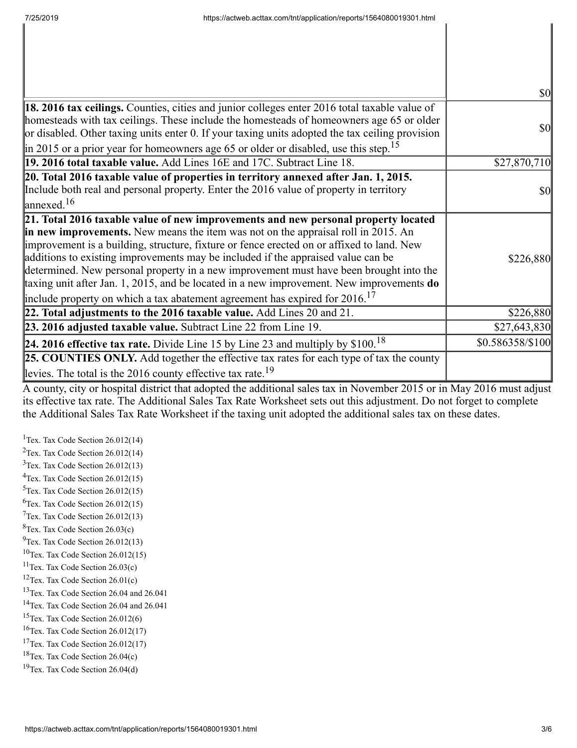|                                                                                                                                                                                                                                                                                                                                                                                                                                                                                                                                                                                                                                                | $\frac{1}{2}$    |
|------------------------------------------------------------------------------------------------------------------------------------------------------------------------------------------------------------------------------------------------------------------------------------------------------------------------------------------------------------------------------------------------------------------------------------------------------------------------------------------------------------------------------------------------------------------------------------------------------------------------------------------------|------------------|
| 18. 2016 tax ceilings. Counties, cities and junior colleges enter 2016 total taxable value of<br>homesteads with tax ceilings. These include the homesteads of homeowners age 65 or older<br>or disabled. Other taxing units enter 0. If your taxing units adopted the tax ceiling provision<br>$\ $ in 2015 or a prior year for homeowners age 65 or older or disabled, use this step. <sup>15</sup>                                                                                                                                                                                                                                          | \$0              |
| 19. 2016 total taxable value. Add Lines 16E and 17C. Subtract Line 18.                                                                                                                                                                                                                                                                                                                                                                                                                                                                                                                                                                         | \$27,870,710     |
| 20. Total 2016 taxable value of properties in territory annexed after Jan. 1, 2015.<br>Include both real and personal property. Enter the 2016 value of property in territory<br>$\int$ annexed. <sup>16</sup>                                                                                                                                                                                                                                                                                                                                                                                                                                 | $\frac{1}{2}$    |
| 21. Total 2016 taxable value of new improvements and new personal property located<br>in new improvements. New means the item was not on the appraisal roll in 2015. An<br>improvement is a building, structure, fixture or fence erected on or affixed to land. New<br>additions to existing improvements may be included if the appraised value can be<br>determined. New personal property in a new improvement must have been brought into the<br>taxing unit after Jan. 1, 2015, and be located in a new improvement. New improvements $do$<br>include property on which a tax abatement agreement has expired for $2016$ . <sup>17</sup> | \$226,880        |
| 22. Total adjustments to the 2016 taxable value. Add Lines 20 and 21.                                                                                                                                                                                                                                                                                                                                                                                                                                                                                                                                                                          | \$226,880        |
| 23. 2016 adjusted taxable value. Subtract Line 22 from Line 19.                                                                                                                                                                                                                                                                                                                                                                                                                                                                                                                                                                                | \$27,643,830     |
| 24. 2016 effective tax rate. Divide Line 15 by Line 23 and multiply by $$100.18$                                                                                                                                                                                                                                                                                                                                                                                                                                                                                                                                                               | \$0.586358/\$100 |
| <b>25. COUNTIES ONLY.</b> Add together the effective tax rates for each type of tax the county<br>levies. The total is the 2016 county effective tax rate. <sup>19</sup>                                                                                                                                                                                                                                                                                                                                                                                                                                                                       |                  |

A county, city or hospital district that adopted the additional sales tax in November 2015 or in May 2016 must adjust its effective tax rate. The Additional Sales Tax Rate Worksheet sets out this adjustment. Do not forget to complete the Additional Sales Tax Rate Worksheet if the taxing unit adopted the additional sales tax on these dates.

<sup>1</sup>Tex. Tax Code Section  $26.012(14)$ <sup>2</sup>Tex. Tax Code Section  $26.012(14)$ Tex. Tax Code Section 26.012(13) Tex. Tax Code Section 26.012(15) Tex. Tax Code Section 26.012(15)  ${}^{6}$ Tex. Tax Code Section 26.012(15) Tex. Tax Code Section 26.012(13)  ${}^{8}$ Tex. Tax Code Section 26.03(c)  $^{9}$ Tex. Tax Code Section 26.012(13) Tex. Tax Code Section 26.012(15) Tex. Tax Code Section 26.03(c) Tex. Tax Code Section 26.01(c) <sup>13</sup>Tex. Tax Code Section 26.04 and 26.041 Tex. Tax Code Section 26.04 and 26.041 Tex. Tax Code Section 26.012(6) Tex. Tax Code Section 26.012(17) <sup>17</sup>Tex. Tax Code Section  $26.012(17)$ Tex. Tax Code Section 26.04(c) Tex. Tax Code Section 26.04(d)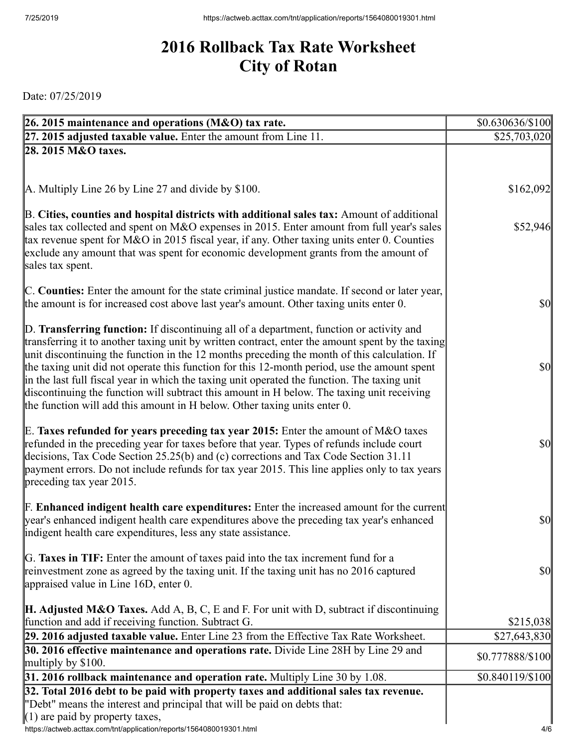## **2016 Rollback Tax Rate Worksheet City of Rotan**

Date: 07/25/2019

| 26. 2015 maintenance and operations (M&O) tax rate.                                                                                                                                           | $$0.630636\%100$ |
|-----------------------------------------------------------------------------------------------------------------------------------------------------------------------------------------------|------------------|
| 27. 2015 adjusted taxable value. Enter the amount from Line 11.                                                                                                                               | \$25,703,020     |
| 28. 2015 M&O taxes.                                                                                                                                                                           |                  |
|                                                                                                                                                                                               |                  |
|                                                                                                                                                                                               |                  |
| A. Multiply Line 26 by Line 27 and divide by \$100.                                                                                                                                           | \$162,092        |
| B. Cities, counties and hospital districts with additional sales tax: Amount of additional                                                                                                    |                  |
| sales tax collected and spent on M&O expenses in 2015. Enter amount from full year's sales<br>tax revenue spent for M&O in 2015 fiscal year, if any. Other taxing units enter 0. Counties     | \$52,946         |
| exclude any amount that was spent for economic development grants from the amount of                                                                                                          |                  |
| sales tax spent.                                                                                                                                                                              |                  |
|                                                                                                                                                                                               |                  |
| C. Counties: Enter the amount for the state criminal justice mandate. If second or later year,                                                                                                |                  |
| the amount is for increased cost above last year's amount. Other taxing units enter 0.                                                                                                        | <b>\$0</b>       |
| D. Transferring function: If discontinuing all of a department, function or activity and                                                                                                      |                  |
| transferring it to another taxing unit by written contract, enter the amount spent by the taxing                                                                                              |                  |
| unit discontinuing the function in the 12 months preceding the month of this calculation. If                                                                                                  |                  |
| the taxing unit did not operate this function for this 12-month period, use the amount spent                                                                                                  | $\frac{1}{2}$    |
| in the last full fiscal year in which the taxing unit operated the function. The taxing unit                                                                                                  |                  |
| discontinuing the function will subtract this amount in H below. The taxing unit receiving                                                                                                    |                  |
| the function will add this amount in H below. Other taxing units enter 0.                                                                                                                     |                  |
| E. Taxes refunded for years preceding tax year 2015: Enter the amount of M&O taxes                                                                                                            |                  |
| refunded in the preceding year for taxes before that year. Types of refunds include court                                                                                                     | $\frac{1}{2}$    |
| decisions, Tax Code Section 25.25(b) and (c) corrections and Tax Code Section 31.11                                                                                                           |                  |
| payment errors. Do not include refunds for tax year 2015. This line applies only to tax years                                                                                                 |                  |
| $\beta$ preceding tax year 2015.                                                                                                                                                              |                  |
|                                                                                                                                                                                               |                  |
| <b>F. Enhanced indigent health care expenditures:</b> Enter the increased amount for the current<br>year's enhanced indigent health care expenditures above the preceding tax year's enhanced | $\frac{1}{2}$    |
| indigent health care expenditures, less any state assistance.                                                                                                                                 |                  |
|                                                                                                                                                                                               |                  |
| G. Taxes in TIF: Enter the amount of taxes paid into the tax increment fund for a                                                                                                             |                  |
| reinvestment zone as agreed by the taxing unit. If the taxing unit has no 2016 captured                                                                                                       | <b>\$0</b>       |
| appraised value in Line $16D$ , enter 0.                                                                                                                                                      |                  |
| <b>H. Adjusted M&amp;O Taxes.</b> Add A, B, C, E and F. For unit with D, subtract if discontinuing                                                                                            |                  |
| function and add if receiving function. Subtract G.                                                                                                                                           | \$215,038        |
| 29. 2016 adjusted taxable value. Enter Line 23 from the Effective Tax Rate Worksheet.                                                                                                         | \$27,643,830     |
| 30. 2016 effective maintenance and operations rate. Divide Line 28H by Line 29 and                                                                                                            | \$0.777888/\$100 |
| multiply by $$100$ .                                                                                                                                                                          |                  |
| 31. 2016 rollback maintenance and operation rate. Multiply Line 30 by 1.08.                                                                                                                   | \$0.840119/\$100 |
| 32. Total 2016 debt to be paid with property taxes and additional sales tax revenue.                                                                                                          |                  |
| "Debt" means the interest and principal that will be paid on debts that:<br>$(1)$ are paid by property taxes,                                                                                 |                  |
| https://actweb.acttax.com/tnt/application/reports/1564080019301.html                                                                                                                          | 4/6              |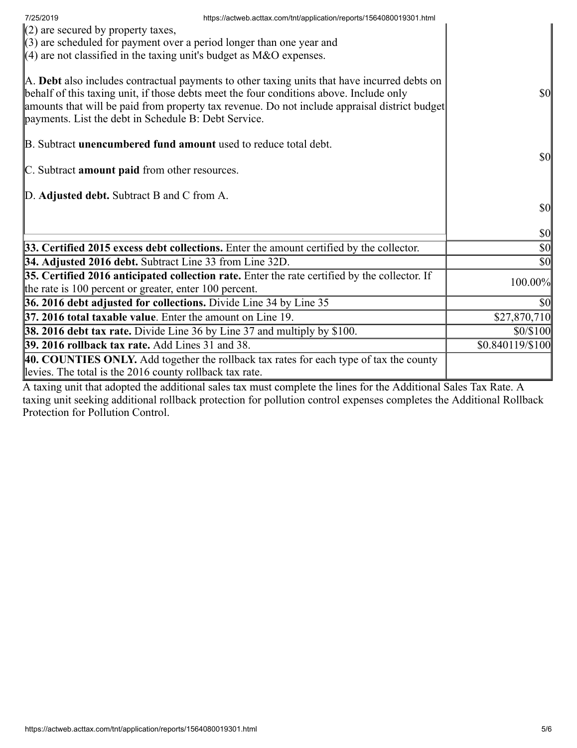| 7/25/2019                                                                       | https://actweb.acttax.com/tnt/application/reports/1564080019301.html                                                                                                                                                                                                                     |                                     |
|---------------------------------------------------------------------------------|------------------------------------------------------------------------------------------------------------------------------------------------------------------------------------------------------------------------------------------------------------------------------------------|-------------------------------------|
| $(2)$ are secured by property taxes,                                            |                                                                                                                                                                                                                                                                                          |                                     |
| $(3)$ are scheduled for payment over a period longer than one year and          |                                                                                                                                                                                                                                                                                          |                                     |
| $(4)$ are not classified in the taxing unit's budget as M&O expenses.           |                                                                                                                                                                                                                                                                                          |                                     |
| payments. List the debt in Schedule B: Debt Service.                            | A. Debt also includes contractual payments to other taxing units that have incurred debts on<br>behalf of this taxing unit, if those debts meet the four conditions above. Include only<br>amounts that will be paid from property tax revenue. Do not include appraisal district budget | $\vert \mathbf{S} \mathbf{0} \vert$ |
| B. Subtract unencumbered fund amount used to reduce total debt.                 |                                                                                                                                                                                                                                                                                          |                                     |
|                                                                                 |                                                                                                                                                                                                                                                                                          | $\vert \mathbf{S} \mathbf{O} \vert$ |
| C. Subtract amount paid from other resources.                                   |                                                                                                                                                                                                                                                                                          |                                     |
|                                                                                 |                                                                                                                                                                                                                                                                                          |                                     |
| D. Adjusted debt. Subtract B and C from A.                                      |                                                                                                                                                                                                                                                                                          |                                     |
|                                                                                 |                                                                                                                                                                                                                                                                                          | $\vert \mathbf{S} \mathbf{0} \vert$ |
|                                                                                 |                                                                                                                                                                                                                                                                                          | $ 10\rangle$                        |
|                                                                                 | 33. Certified 2015 excess debt collections. Enter the amount certified by the collector.                                                                                                                                                                                                 | $ 10\rangle$                        |
| 34. Adjusted 2016 debt. Subtract Line 33 from Line 32D.                         |                                                                                                                                                                                                                                                                                          | $\vert \mathbf{S} \mathbf{0} \vert$ |
|                                                                                 | $35.$ Certified 2016 anticipated collection rate. Enter the rate certified by the collector. If                                                                                                                                                                                          | 100.00%                             |
| the rate is 100 percent or greater, enter 100 percent.                          |                                                                                                                                                                                                                                                                                          |                                     |
| 36. 2016 debt adjusted for collections. Divide Line 34 by Line 35               |                                                                                                                                                                                                                                                                                          | $\vert \mathbf{S} \mathbf{O} \vert$ |
| $37.2016$ total taxable value. Enter the amount on Line 19.                     |                                                                                                                                                                                                                                                                                          | \$27,870,710                        |
| <b>38. 2016 debt tax rate.</b> Divide Line 36 by Line 37 and multiply by \$100. |                                                                                                                                                                                                                                                                                          | \$0/\$100                           |
| <b>39. 2016 rollback tax rate.</b> Add Lines 31 and 38.                         |                                                                                                                                                                                                                                                                                          | \$0.840119/\$100                    |
|                                                                                 | 40. COUNTIES ONLY. Add together the rollback tax rates for each type of tax the county                                                                                                                                                                                                   |                                     |
| levies. The total is the 2016 county rollback tax rate.                         |                                                                                                                                                                                                                                                                                          |                                     |

A taxing unit that adopted the additional sales tax must complete the lines for the Additional Sales Tax Rate. A taxing unit seeking additional rollback protection for pollution control expenses completes the Additional Rollback Protection for Pollution Control.